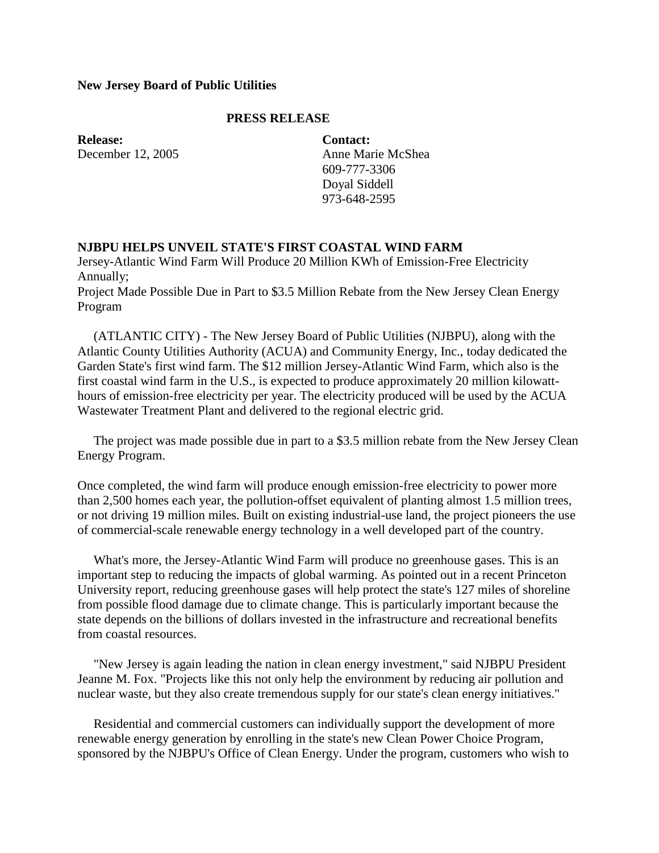### **New Jersey Board of Public Utilities**

### **PRESS RELEASE**

**Release:** December 12, 2005 **Contact:** Anne Marie McShea 609-777-3306 Doyal Siddell 973-648-2595

### **NJBPU HELPS UNVEIL STATE'S FIRST COASTAL WIND FARM**

Jersey-Atlantic Wind Farm Will Produce 20 Million KWh of Emission-Free Electricity Annually;

Project Made Possible Due in Part to \$3.5 Million Rebate from the New Jersey Clean Energy Program

 (ATLANTIC CITY) - The New Jersey Board of Public Utilities (NJBPU), along with the Atlantic County Utilities Authority (ACUA) and Community Energy, Inc., today dedicated the Garden State's first wind farm. The \$12 million Jersey-Atlantic Wind Farm, which also is the first coastal wind farm in the U.S., is expected to produce approximately 20 million kilowatthours of emission-free electricity per year. The electricity produced will be used by the ACUA Wastewater Treatment Plant and delivered to the regional electric grid.

 The project was made possible due in part to a \$3.5 million rebate from the New Jersey Clean Energy Program.

Once completed, the wind farm will produce enough emission-free electricity to power more than 2,500 homes each year, the pollution-offset equivalent of planting almost 1.5 million trees, or not driving 19 million miles. Built on existing industrial-use land, the project pioneers the use of commercial-scale renewable energy technology in a well developed part of the country.

 What's more, the Jersey-Atlantic Wind Farm will produce no greenhouse gases. This is an important step to reducing the impacts of global warming. As pointed out in a recent Princeton University report, reducing greenhouse gases will help protect the state's 127 miles of shoreline from possible flood damage due to climate change. This is particularly important because the state depends on the billions of dollars invested in the infrastructure and recreational benefits from coastal resources.

 "New Jersey is again leading the nation in clean energy investment," said NJBPU President Jeanne M. Fox. "Projects like this not only help the environment by reducing air pollution and nuclear waste, but they also create tremendous supply for our state's clean energy initiatives."

 Residential and commercial customers can individually support the development of more renewable energy generation by enrolling in the state's new Clean Power Choice Program, sponsored by the NJBPU's Office of Clean Energy. Under the program, customers who wish to